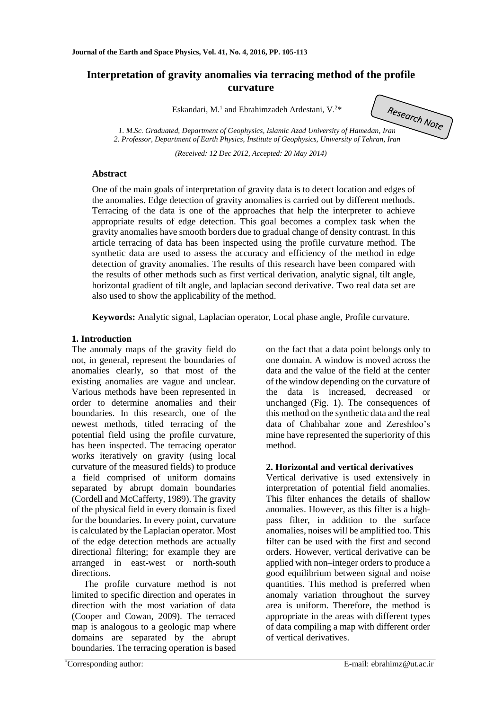# **Interpretation of gravity anomalies via terracing method of the profile curvature**

Eskandari, M.<sup>1</sup> and Ebrahimzadeh Ardestani, V.<sup>2\*</sup>

*1. M.Sc. Graduated, Department of Geophysics, Islamic Azad University of Hamedan, Iran* 

*2. Professor, Department of Earth Physics, Institute of Geophysics, University of Tehran, Iran*

*(Received: 12 Dec 2012, Accepted: 20 May 2014)*

## **Abstract**

One of the main goals of interpretation of gravity data is to detect location and edges of the anomalies. Edge detection of gravity anomalies is carried out by different methods. Terracing of the data is one of the approaches that help the interpreter to achieve appropriate results of edge detection. This goal becomes a complex task when the gravity anomalies have smooth borders due to gradual change of density contrast. In this article terracing of data has been inspected using the profile curvature method. The synthetic data are used to assess the accuracy and efficiency of the method in edge detection of gravity anomalies. The results of this research have been compared with the results of other methods such as first vertical derivation, analytic signal, tilt angle, horizontal gradient of tilt angle, and laplacian second derivative. Two real data set are also used to show the applicability of the method.

**Keywords:** Analytic signal, Laplacian operator, Local phase angle, Profile curvature.

## **1. Introduction**

The anomaly maps of the gravity field do not, in general, represent the boundaries of anomalies clearly, so that most of the existing anomalies are vague and unclear. Various methods have been represented in order to determine anomalies and their boundaries. In this research, one of the newest methods, titled terracing of the potential field using the profile curvature, has been inspected. The terracing operator works iteratively on gravity (using local curvature of the measured fields) to produce a field comprised of uniform domains separated by abrupt domain boundaries (Cordell and McCafferty, 1989). The gravity of the physical field in every domain is fixed for the boundaries. In every point, curvature is calculated by the Laplacian operator. Most of the edge detection methods are actually directional filtering; for example they are arranged in east-west or north-south directions.

The profile curvature method is not limited to specific direction and operates in direction with the most variation of data (Cooper and Cowan, 2009). The terraced map is analogous to a geologic map where domains are separated by the abrupt boundaries. The terracing operation is based

on the fact that a data point belongs only to one domain. A window is moved across the data and the value of the field at the center of the window depending on the curvature of the data is increased, decreased or unchanged (Fig. 1). The consequences of this method on the synthetic data and the real data of Chahbahar zone and Zereshloo's mine have represented the superiority of this method.

## **2. Horizontal and vertical derivatives**

Vertical derivative is used extensively in interpretation of potential field anomalies. This filter enhances the details of shallow anomalies. However, as this filter is a highpass filter, in addition to the surface anomalies, noises will be amplified too. This filter can be used with the first and second orders. However, vertical derivative can be applied with non–integer orders to produce a good equilibrium between signal and noise quantities. This method is preferred when anomaly variation throughout the survey area is uniform. Therefore, the method is appropriate in the areas with different types of data compiling a map with different order of vertical derivatives.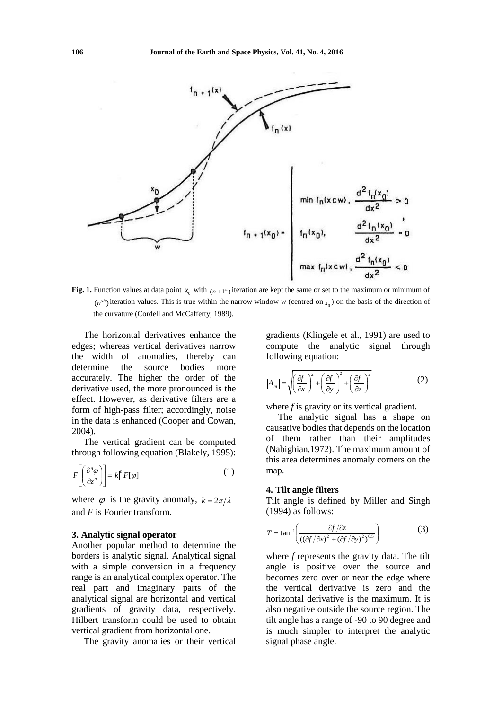

**Fig. 1.** Function values at data point  $x_0$  with  $(n+1)$  iteration are kept the same or set to the maximum or minimum of  $(n^{sh})$  iteration values. This is true within the narrow window *w* (centred on  $x_0$ ) on the basis of the direction of the curvature (Cordell and McCafferty, 1989).

The horizontal derivatives enhance the edges; whereas vertical derivatives narrow the width of anomalies, thereby can determine the source bodies more accurately. The higher the order of the derivative used, the more pronounced is the effect. However, as derivative filters are a form of high-pass filter; accordingly, noise in the data is enhanced (Cooper and Cowan, 2004).

The vertical gradient can be computed through following equation (Blakely, 1995):

$$
F\left[\left(\frac{\partial^n \varphi}{\partial z^n}\right)\right] = |k|^n F[\varphi]
$$
\n(1)

where  $\varphi$  is the gravity anomaly,  $k = 2\pi/\lambda$ and *F* is Fourier transform.

## **3. Analytic signal operator**

Another popular method to determine the borders is analytic signal. Analytical signal with a simple conversion in a frequency range is an analytical complex operator. The real part and imaginary parts of the analytical signal are horizontal and vertical gradients of gravity data, respectively. Hilbert transform could be used to obtain vertical gradient from horizontal one.

The gravity anomalies or their vertical

gradients (Klingele et al., 1991) are used to compute the analytic signal through following equation:

$$
|A_m| = \sqrt{\left(\frac{\partial f}{\partial x}\right)^2 + \left(\frac{\partial f}{\partial y}\right)^2 + \left(\frac{\partial f}{\partial z}\right)^2}
$$
 (2)

where *f* is gravity or its vertical gradient.

The analytic signal has a shape on causative bodies that depends on the location of them rather than their amplitudes (Nabighian,1972). The maximum amount of this area determines anomaly corners on the map.

### **4. Tilt angle filters**

Tilt angle is defined by Miller and Singh (1994) as follows:

$$
T = \tan^{-1}\left(\frac{\partial f/\partial z}{\left(\left(\partial f/\partial x\right)^2 + \left(\partial f/\partial y\right)^2\right)^{0.5}}\right) \tag{3}
$$

where *f* represents the gravity data. The tilt angle is positive over the source and becomes zero over or near the edge where the vertical derivative is zero and the horizontal derivative is the maximum. It is also negative outside the source region. The tilt angle has a range of -90 to 90 degree and is much simpler to interpret the analytic signal phase angle.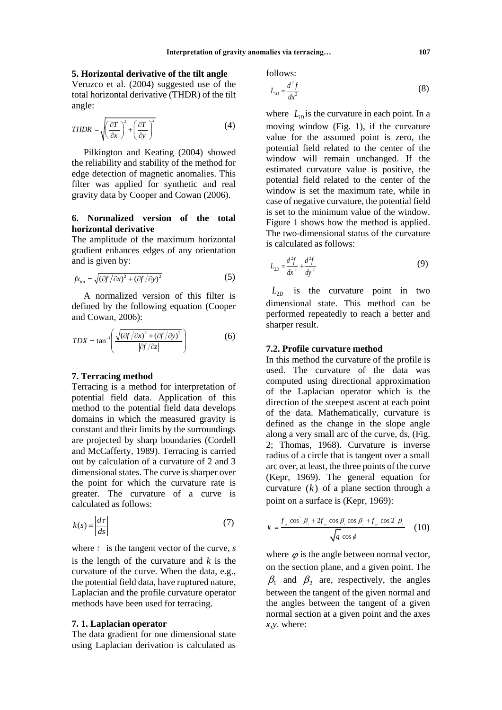## **5. Horizontal derivative of the tilt angle**

Veruzco et al. (2004) suggested use of the total horizontal derivative (THDR) of the tilt angle:

$$
THDR = \sqrt{\left(\frac{\partial T}{\partial x}\right)^2 + \left(\frac{\partial T}{\partial y}\right)^2}
$$
 (4)

Pilkington and Keating (2004) showed the reliability and stability of the method for edge detection of magnetic anomalies. This filter was applied for synthetic and real gravity data by Cooper and Cowan (2006).

## **6. Normalized version of the total horizontal derivative**

The amplitude of the maximum horizontal gradient enhances edges of any orientation and is given by:

$$
f x_{\text{tot}} = \sqrt{\left(\frac{\partial f}{\partial x}\right)^2 + \left(\frac{\partial f}{\partial y}\right)^2} \tag{5}
$$

A normalized version of this filter is defined by the following equation (Cooper and Cowan, 2006):

$$
TDX = \tan^{-1}\left(\frac{\sqrt{(\partial f/\partial x)^2 + (\partial f/\partial y)^2}}{|\partial f/\partial z|}\right)
$$
 (6)

## **7. Terracing method**

Terracing is a method for interpretation of potential field data. Application of this method to the potential field data develops domains in which the measured gravity is constant and their limits by the surroundings are projected by sharp boundaries (Cordell and McCafferty, 1989). Terracing is carried out by calculation of a curvature of 2 and 3 dimensional states. The curve is sharper over the point for which the curvature rate is greater. The curvature of a curve is calculated as follows:

$$
k(s) = \left| \frac{d\tau}{ds} \right| \tag{7}
$$

where  $\tau$  is the tangent vector of the curve,  $s$ is the length of the curvature and *k* is the curvature of the curve. When the data, e.g., the potential field data, have ruptured nature, Laplacian and the profile curvature operator methods have been used for terracing.

#### **7. 1. Laplacian operator**

The data gradient for one dimensional state using Laplacian derivation is calculated as follows:

$$
L_{1D} = \frac{d^2 f}{dx^2} \tag{8}
$$

where  $L_{1D}$  is the curvature in each point. In a moving window (Fig. 1), if the curvature value for the assumed point is zero, the potential field related to the center of the window will remain unchanged. If the estimated curvature value is positive, the potential field related to the center of the window is set the maximum rate, while in case of negative curvature, the potential field is set to the minimum value of the window. Figure 1 shows how the method is applied. The two-dimensional status of the curvature is calculated as follows:

$$
L_{2D} = \frac{d^2f}{dx^2} + \frac{d^2f}{dy^2}
$$
 (9)

 $L_{2D}$  is the curvature point in two dimensional state. This method can be performed repeatedly to reach a better and sharper result.

## **7.2. Profile curvature method**

In this method the curvature of the profile is used. The curvature of the data was computed using directional approximation of the Laplacian operator which is the direction of the steepest ascent at each point of the data. Mathematically, curvature is defined as the change in the slope angle along a very small arc of the curve, ds, (Fig. 2; Thomas, 1968). Curvature is inverse radius of a circle that is tangent over a small arc over, at least, the three points of the curve (Kepr, 1969). The general equation for curvature  $(k)$  of a plane section through a point on a surface is (Kepr, 1969):

$$
k = \frac{f_{\scriptscriptstyle n} \cos^2 \beta_{\scriptscriptstyle 1} + 2f_{\scriptscriptstyle n} \cos \beta_{\scriptscriptstyle 1} \cos \beta_{\scriptscriptstyle 2} + f_{\scriptscriptstyle n} \cos 2^2 \beta_{\scriptscriptstyle 2}}{\sqrt{q} \cos \phi} \qquad (10)
$$

where  $\varphi$  is the angle between normal vector, on the section plane, and a given point. The  $\beta_1$  and  $\beta_2$  are, respectively, the angles between the tangent of the given normal and the angles between the tangent of a given normal section at a given point and the axes *x,y*. where: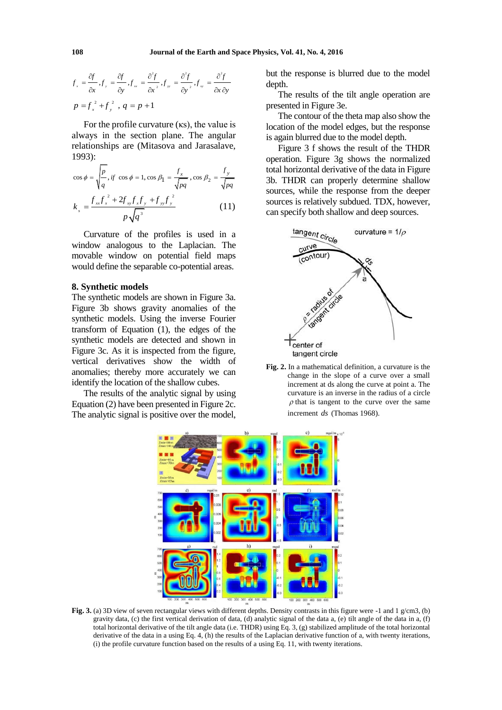$$
f_x = \frac{\partial f}{\partial x}, f_y = \frac{\partial f}{\partial y}, f_x = \frac{\partial^2 f}{\partial x^2}, f_y = \frac{\partial^2 f}{\partial y^2}, f_y = \frac{\partial^2 f}{\partial x \partial y}
$$
  

$$
p = f_x^2 + f_y^2, q = p + 1
$$

For the profile curvature (κs), the value is always in the section plane. The angular relationships are (Mitasova and Jarasalave, 1993):

$$
\cos \phi = \sqrt{\frac{p}{q}}, \text{ if } \cos \phi = 1, \cos \beta_1 = \frac{f_x}{\sqrt{pq}}, \cos \beta_2 = \frac{f_y}{\sqrt{pq}}
$$

$$
k_s = \frac{f_{xx}f_x^2 + 2f_{xy}f_xf_y + f_{yy}f_y^2}{p\sqrt{q^3}}
$$
 (11)

Curvature of the profiles is used in a window analogous to the Laplacian. The movable window on potential field maps would define the separable co-potential areas.

### **8. Synthetic models**

The synthetic models are shown in Figure 3a. Figure 3b shows gravity anomalies of the synthetic models. Using the inverse Fourier transform of Equation (1), the edges of the synthetic models are detected and shown in Figure 3c. As it is inspected from the figure, vertical derivatives show the width of anomalies; thereby more accurately we can identify the location of the shallow cubes.

The results of the analytic signal by using Equation (2) have been presented in Figure 2c. The analytic signal is positive over the model,

but the response is blurred due to the model depth.

The results of the tilt angle operation are presented in Figure 3e.

The contour of the theta map also show the location of the model edges, but the response is again blurred due to the model depth.

Figure 3 f shows the result of the THDR operation. Figure 3g shows the normalized total horizontal derivative of the data in Figure 3b. THDR can properly determine shallow sources, while the response from the deeper sources is relatively subdued. TDX, however, can specify both shallow and deep sources.



**Fig. 2.** In a mathematical definition, a curvature is the change in the slope of a curve over a small increment at ds along the curve at point a. The curvature is an inverse in the radius of a circle  $\rho$  that is tangent to the curve over the same increment *ds* (Thomas 1968).



**Fig. 3.** (a) 3D view of seven rectangular views with different depths. Density contrasts in this figure were -1 and 1 g/cm3, (b) gravity data, (c) the first vertical derivation of data, (d) analytic signal of the data a, (e) tilt angle of the data in a, (f) total horizontal derivative of the tilt angle data (i.e. THDR) using Eq. 3, (g) stabilized amplitude of the total horizontal derivative of the data in a using Eq. 4, (h) the results of the Laplacian derivative function of a, with twenty iterations, (i) the profile curvature function based on the results of a using Eq. 11, with twenty iterations.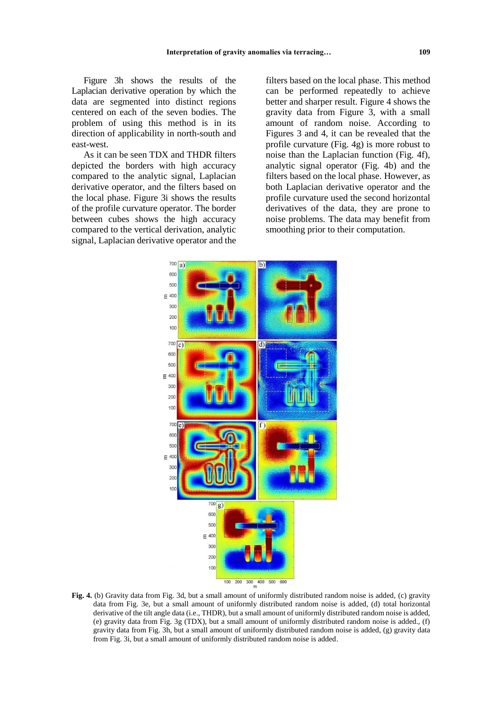Figure 3h shows the results of the Laplacian derivative operation by which the data are segmented into distinct regions centered on each of the seven bodies. The problem of using this method is in its direction of applicability in north-south and east-west.

As it can be seen TDX and THDR filters depicted the borders with high accuracy compared to the analytic signal, Laplacian derivative operator, and the filters based on the local phase. Figure 3i shows the results of the profile curvature operator. The border between cubes shows the high accuracy compared to the vertical derivation, analytic signal, Laplacian derivative operator and the

filters based on the local phase. This method can be performed repeatedly to achieve better and sharper result. Figure 4 shows the gravity data from Figure 3, with a small amount of random noise. According to Figures 3 and 4, it can be revealed that the profile curvature (Fig. 4g) is more robust to noise than the Laplacian function (Fig. 4f), analytic signal operator (Fig. 4b) and the filters based on the local phase. However, as both Laplacian derivative operator and the profile curvature used the second horizontal derivatives of the data, they are prone to noise problems. The data may benefit from smoothing prior to their computation.



**Fig. 4.** (b) Gravity data from Fig. 3d, but a small amount of uniformly distributed random noise is added, (c) gravity data from Fig. 3e, but a small amount of uniformly distributed random noise is added, (d) total horizontal derivative of the tilt angle data (i.e., THDR), but a small amount of uniformly distributed random noise is added, (e) gravity data from Fig. 3g (TDX), but a small amount of uniformly distributed random noise is added., (f) gravity data from Fig. 3h, but a small amount of uniformly distributed random noise is added, (g) gravity data from Fig. 3i, but a small amount of uniformly distributed random noise is added.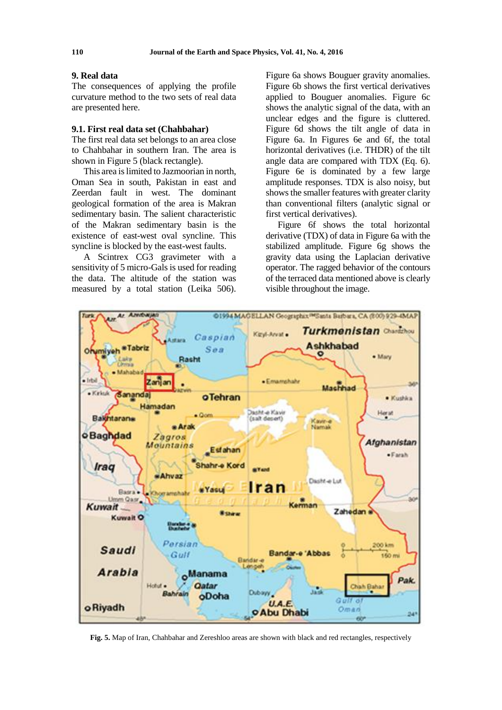### **9. Real data**

The consequences of applying the profile curvature method to the two sets of real data are presented here.

## **9.1. First real data set (Chahbahar)**

The first real data set belongs to an area close to Chahbahar in southern Iran. The area is shown in Figure 5 (black rectangle).

This area is limited to Jazmoorian in north, Oman Sea in south, Pakistan in east and Zeerdan fault in west. The dominant geological formation of the area is Makran sedimentary basin. The salient characteristic of the Makran sedimentary basin is the existence of east-west oval syncline. This syncline is blocked by the east-west faults.

A Scintrex CG3 gravimeter with a sensitivity of 5 micro-Gals is used for reading the data. The altitude of the station was measured by a total station (Leika 506).

Figure 6a shows Bouguer gravity anomalies. Figure 6b shows the first vertical derivatives applied to Bouguer anomalies. Figure 6c shows the analytic signal of the data, with an unclear edges and the figure is cluttered. Figure 6d shows the tilt angle of data in Figure 6a. In Figures 6e and 6f, the total horizontal derivatives (i.e. THDR) of the tilt angle data are compared with TDX (Eq. 6). Figure 6e is dominated by a few large amplitude responses. TDX is also noisy, but shows the smaller features with greater clarity than conventional filters (analytic signal or first vertical derivatives).

Figure 6f shows the total horizontal derivative (TDX) of data in Figure 6a with the stabilized amplitude. Figure 6g shows the gravity data using the Laplacian derivative operator. The ragged behavior of the contours of the terraced data mentioned above is clearly visible throughout the image.



**Fig. 5.** Map of Iran, Chahbahar and Zereshloo areas are shown with black and red rectangles, respectively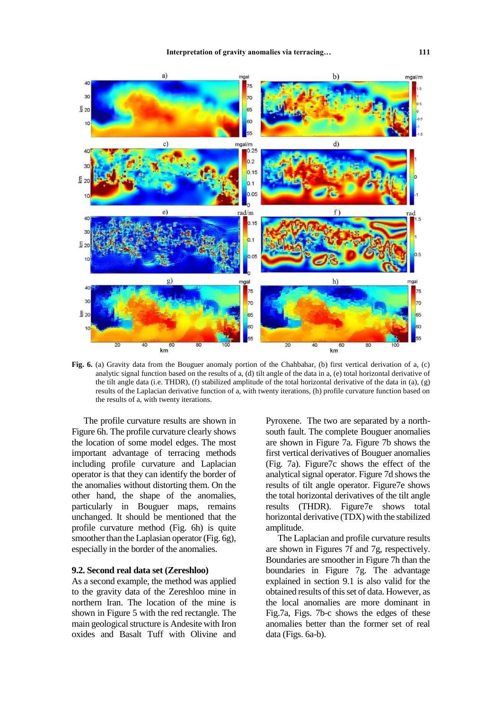

**Fig. 6.** (a) Gravity data from the Bouguer anomaly portion of the Chahbahar, (b) first vertical derivation of a, (c) analytic signal function based on the results of a, (d) tilt angle of the data in a, (e) total horizontal derivative of the tilt angle data (i.e. THDR), (f) stabilized amplitude of the total horizontal derivative of the data in (a), (g) results of the Laplacian derivative function of a, with twenty iterations, (h) profile curvature function based on the results of a, with twenty iterations.

The profile curvature results are shown in Figure 6h. The profile curvature clearly shows the location of some model edges. The most important advantage of terracing methods including profile curvature and Laplacian operator is that they can identify the border of the anomalies without distorting them. On the other hand, the shape of the anomalies, particularly in Bouguer maps, remains unchanged. It should be mentioned that the profile curvature method (Fig. 6h) is quite smoother than the Laplasian operator (Fig. 6g), especially in the border of the anomalies.

## **9.2. Second real data set (Zereshloo)**

As a second example, the method was applied to the gravity data of the Zereshloo mine in northern Iran. The location of the mine is shown in Figure 5 with the red rectangle. The main geological structure is Andesite with Iron oxides and Basalt Tuff with Olivine and

Pyroxene. The two are separated by a northsouth fault. The complete Bouguer anomalies are shown in Figure 7a. Figure 7b shows the first vertical derivatives of Bouguer anomalies (Fig. 7a). Figure7c shows the effect of the analytical signal operator. Figure 7d shows the results of tilt angle operator. Figure7e shows the total horizontal derivatives of the tilt angle results (THDR). Figure7e shows total horizontal derivative (TDX) with the stabilized amplitude.

The Laplacian and profile curvature results are shown in Figures 7f and 7g, respectively. Boundaries are smoother in Figure 7h than the boundaries in Figure 7g. The advantage explained in section 9.1 is also valid for the obtained results of this set of data. However, as the local anomalies are more dominant in Fig.7a, Figs. 7b-c shows the edges of these anomalies better than the former set of real data (Figs. 6a-b).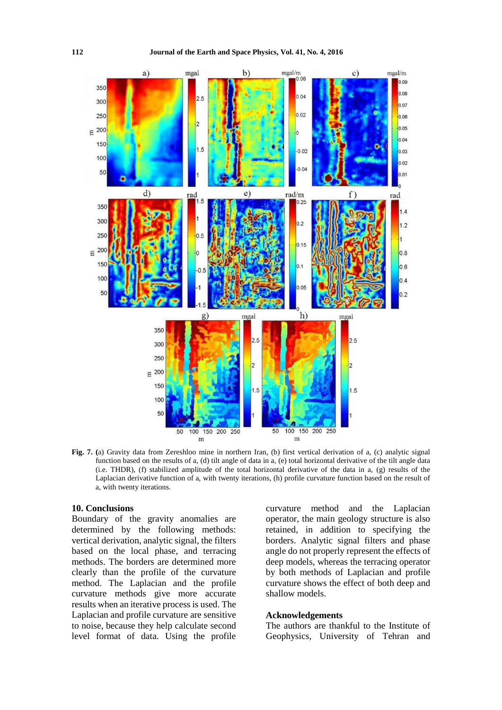

**Fig. 7. (**a) Gravity data from Zereshloo mine in northern Iran, (b) first vertical derivation of a, (c) analytic signal function based on the results of a, (d) tilt angle of data in a, (e) total horizontal derivative of the tilt angle data (i.e. THDR), (f) stabilized amplitude of the total horizontal derivative of the data in a, (g) results of the Laplacian derivative function of a, with twenty iterations, (h) profile curvature function based on the result of a, with twenty iterations.

## **10. Conclusions**

Boundary of the gravity anomalies are determined by the following methods: vertical derivation, analytic signal, the filters based on the local phase, and terracing methods. The borders are determined more clearly than the profile of the curvature method. The Laplacian and the profile curvature methods give more accurate results when an iterative process is used. The Laplacian and profile curvature are sensitive to noise, because they help calculate second level format of data. Using the profile

curvature method and the Laplacian operator, the main geology structure is also retained, in addition to specifying the borders. Analytic signal filters and phase angle do not properly represent the effects of deep models, whereas the terracing operator by both methods of Laplacian and profile curvature shows the effect of both deep and shallow models.

## **Acknowledgements**

The authors are thankful to the Institute of Geophysics, University of Tehran and